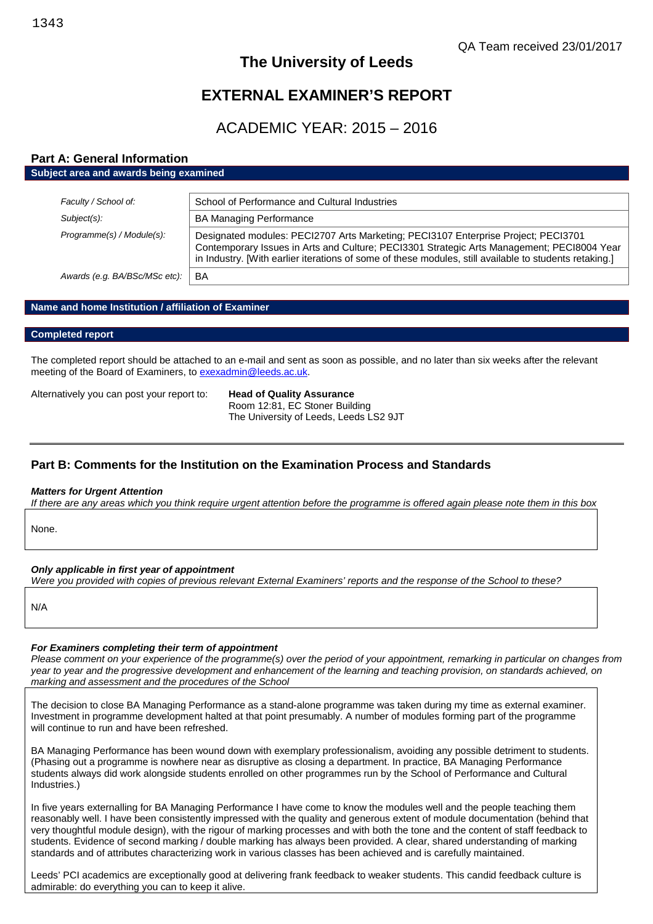# **The University of Leeds**

# **EXTERNAL EXAMINER'S REPORT**

# ACADEMIC YEAR: 2015 – 2016

## **Part A: General Information**

### **Subject area and awards being examined**

| Faculty / School of:          | School of Performance and Cultural Industries                                                                                                                                                                                                                                              |
|-------------------------------|--------------------------------------------------------------------------------------------------------------------------------------------------------------------------------------------------------------------------------------------------------------------------------------------|
| Subject(s):                   | <b>BA Managing Performance</b>                                                                                                                                                                                                                                                             |
| Programme(s) / Module(s):     | Designated modules: PECI2707 Arts Marketing; PECI3107 Enterprise Project; PECI3701<br>Contemporary Issues in Arts and Culture; PECI3301 Strategic Arts Management; PECI8004 Year<br>in Industry. [With earlier iterations of some of these modules, still available to students retaking.] |
| Awards (e.g. BA/BSc/MSc etc): | BA                                                                                                                                                                                                                                                                                         |

### **Name and home Institution / affiliation of Examiner**

#### **Completed report**

The completed report should be attached to an e-mail and sent as soon as possible, and no later than six weeks after the relevant meeting of the Board of Examiners, to [exexadmin@leeds.ac.uk](mailto:exexadmin@leeds.ac.uk).

Alternatively you can post your report to: **Head of Quality Assurance**

Room 12:81, EC Stoner Building The University of Leeds, Leeds LS2 9JT

### **Part B: Comments for the Institution on the Examination Process and Standards**

#### *Matters for Urgent Attention*

*If there are any areas which you think require urgent attention before the programme is offered again please note them in this box*

None.

### *Only applicable in first year of appointment*

*Were you provided with copies of previous relevant External Examiners' reports and the response of the School to these?*

N/A

#### *For Examiners completing their term of appointment*

*Please comment on your experience of the programme(s) over the period of your appointment, remarking in particular on changes from year to year and the progressive development and enhancement of the learning and teaching provision, on standards achieved, on marking and assessment and the procedures of the School*

The decision to close BA Managing Performance as a stand-alone programme was taken during my time as external examiner. Investment in programme development halted at that point presumably. A number of modules forming part of the programme will continue to run and have been refreshed.

BA Managing Performance has been wound down with exemplary professionalism, avoiding any possible detriment to students. (Phasing out a programme is nowhere near as disruptive as closing a department. In practice, BA Managing Performance students always did work alongside students enrolled on other programmes run by the School of Performance and Cultural Industries.)

In five years externalling for BA Managing Performance I have come to know the modules well and the people teaching them reasonably well. I have been consistently impressed with the quality and generous extent of module documentation (behind that very thoughtful module design), with the rigour of marking processes and with both the tone and the content of staff feedback to students. Evidence of second marking / double marking has always been provided. A clear, shared understanding of marking standards and of attributes characterizing work in various classes has been achieved and is carefully maintained.

Leeds' PCI academics are exceptionally good at delivering frank feedback to weaker students. This candid feedback culture is admirable: do everything you can to keep it alive.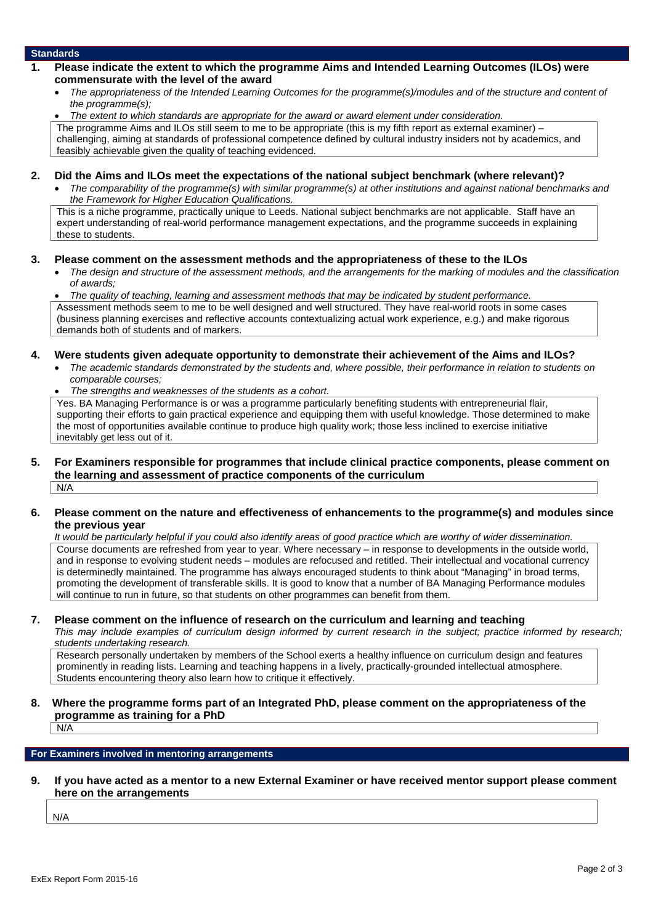#### **Standards**

- **1. Please indicate the extent to which the programme Aims and Intended Learning Outcomes (ILOs) were commensurate with the level of the award**
	- *The appropriateness of the Intended Learning Outcomes for the programme(s)/modules and of the structure and content of the programme(s);*
	- *The extent to which standards are appropriate for the award or award element under consideration.*

The programme Aims and ILOs still seem to me to be appropriate (this is my fifth report as external examiner) – challenging, aiming at standards of professional competence defined by cultural industry insiders not by academics, and feasibly achievable given the quality of teaching evidenced.

- **2. Did the Aims and ILOs meet the expectations of the national subject benchmark (where relevant)?**
	- *The comparability of the programme(s) with similar programme(s) at other institutions and against national benchmarks and the Framework for Higher Education Qualifications.*

This is a niche programme, practically unique to Leeds. National subject benchmarks are not applicable. Staff have an expert understanding of real-world performance management expectations, and the programme succeeds in explaining these to students.

#### **3. Please comment on the assessment methods and the appropriateness of these to the ILOs**

- *The design and structure of the assessment methods, and the arrangements for the marking of modules and the classification of awards;*
- *The quality of teaching, learning and assessment methods that may be indicated by student performance.*

Assessment methods seem to me to be well designed and well structured. They have real-world roots in some cases (business planning exercises and reflective accounts contextualizing actual work experience, e.g.) and make rigorous demands both of students and of markers.

#### **4. Were students given adequate opportunity to demonstrate their achievement of the Aims and ILOs?**

- *The academic standards demonstrated by the students and, where possible, their performance in relation to students on comparable courses;*
- *The strengths and weaknesses of the students as a cohort.*

Yes. BA Managing Performance is or was a programme particularly benefiting students with entrepreneurial flair, supporting their efforts to gain practical experience and equipping them with useful knowledge. Those determined to make the most of opportunities available continue to produce high quality work; those less inclined to exercise initiative inevitably get less out of it.

**5. For Examiners responsible for programmes that include clinical practice components, please comment on the learning and assessment of practice components of the curriculum**  $N/A$ 

#### **6. Please comment on the nature and effectiveness of enhancements to the programme(s) and modules since the previous year**

*It would be particularly helpful if you could also identify areas of good practice which are worthy of wider dissemination.* Course documents are refreshed from year to year. Where necessary – in response to developments in the outside world, and in response to evolving student needs – modules are refocused and retitled. Their intellectual and vocational currency is determinedly maintained. The programme has always encouraged students to think about "Managing" in broad terms, promoting the development of transferable skills. It is good to know that a number of BA Managing Performance modules will continue to run in future, so that students on other programmes can benefit from them.

#### **7. Please comment on the influence of research on the curriculum and learning and teaching**

*This may include examples of curriculum design informed by current research in the subject; practice informed by research; students undertaking research.*

Research personally undertaken by members of the School exerts a healthy influence on curriculum design and features prominently in reading lists. Learning and teaching happens in a lively, practically-grounded intellectual atmosphere. Students encountering theory also learn how to critique it effectively.

**8. Where the programme forms part of an Integrated PhD, please comment on the appropriateness of the programme as training for a PhD**

 $N/A$ 

### **For Examiners involved in mentoring arrangements**

**9. If you have acted as a mentor to a new External Examiner or have received mentor support please comment here on the arrangements**

N/A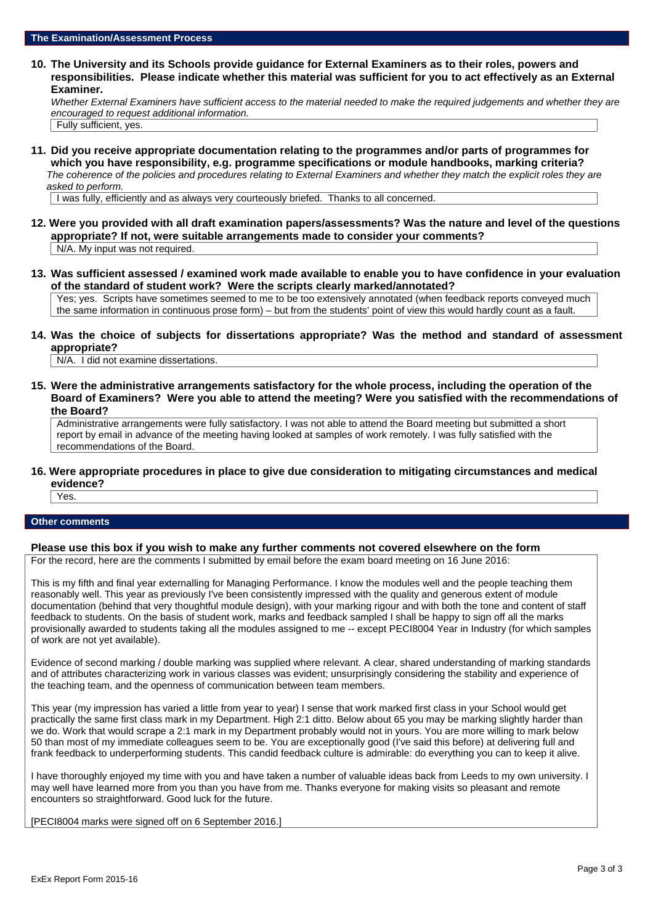**10. The University and its Schools provide guidance for External Examiners as to their roles, powers and responsibilities. Please indicate whether this material was sufficient for you to act effectively as an External Examiner.**

*Whether External Examiners have sufficient access to the material needed to make the required judgements and whether they are encouraged to request additional information.*

Fully sufficient, yes.

**11. Did you receive appropriate documentation relating to the programmes and/or parts of programmes for which you have responsibility, e.g. programme specifications or module handbooks, marking criteria?** *The coherence of the policies and procedures relating to External Examiners and whether they match the explicit roles they are asked to perform.*

I was fully, efficiently and as always very courteously briefed. Thanks to all concerned.

- **12. Were you provided with all draft examination papers/assessments? Was the nature and level of the questions appropriate? If not, were suitable arrangements made to consider your comments?** N/A. My input was not required.
- **13. Was sufficient assessed / examined work made available to enable you to have confidence in your evaluation of the standard of student work? Were the scripts clearly marked/annotated?** Yes; yes. Scripts have sometimes seemed to me to be too extensively annotated (when feedback reports conveyed much the same information in continuous prose form) – but from the students' point of view this would hardly count as a fault.
- **14. Was the choice of subjects for dissertations appropriate? Was the method and standard of assessment appropriate?**

N/A. I did not examine dissertations.

**15. Were the administrative arrangements satisfactory for the whole process, including the operation of the Board of Examiners? Were you able to attend the meeting? Were you satisfied with the recommendations of the Board?**

Administrative arrangements were fully satisfactory. I was not able to attend the Board meeting but submitted a short report by email in advance of the meeting having looked at samples of work remotely. I was fully satisfied with the recommendations of the Board.

**16. Were appropriate procedures in place to give due consideration to mitigating circumstances and medical evidence?** Yes.

# **Other comments**

#### **Please use this box if you wish to make any further comments not covered elsewhere on the form**

For the record, here are the comments I submitted by email before the exam board meeting on 16 June 2016:

This is my fifth and final year externalling for Managing Performance. I know the modules well and the people teaching them reasonably well. This year as previously I've been consistently impressed with the quality and generous extent of module documentation (behind that very thoughtful module design), with your marking rigour and with both the tone and content of staff feedback to students. On the basis of student work, marks and feedback sampled I shall be happy to sign off all the marks provisionally awarded to students taking all the modules assigned to me -- except PECI8004 Year in Industry (for which samples of work are not yet available).

Evidence of second marking / double marking was supplied where relevant. A clear, shared understanding of marking standards and of attributes characterizing work in various classes was evident; unsurprisingly considering the stability and experience of the teaching team, and the openness of communication between team members.

This year (my impression has varied a little from year to year) I sense that work marked first class in your School would get practically the same first class mark in my Department. High 2:1 ditto. Below about 65 you may be marking slightly harder than we do. Work that would scrape a 2:1 mark in my Department probably would not in yours. You are more willing to mark below 50 than most of my immediate colleagues seem to be. You are exceptionally good (I've said this before) at delivering full and frank feedback to underperforming students. This candid feedback culture is admirable: do everything you can to keep it alive.

I have thoroughly enjoyed my time with you and have taken a number of valuable ideas back from Leeds to my own university. I may well have learned more from you than you have from me. Thanks everyone for making visits so pleasant and remote encounters so straightforward. Good luck for the future.

[PECI8004 marks were signed off on 6 September 2016.]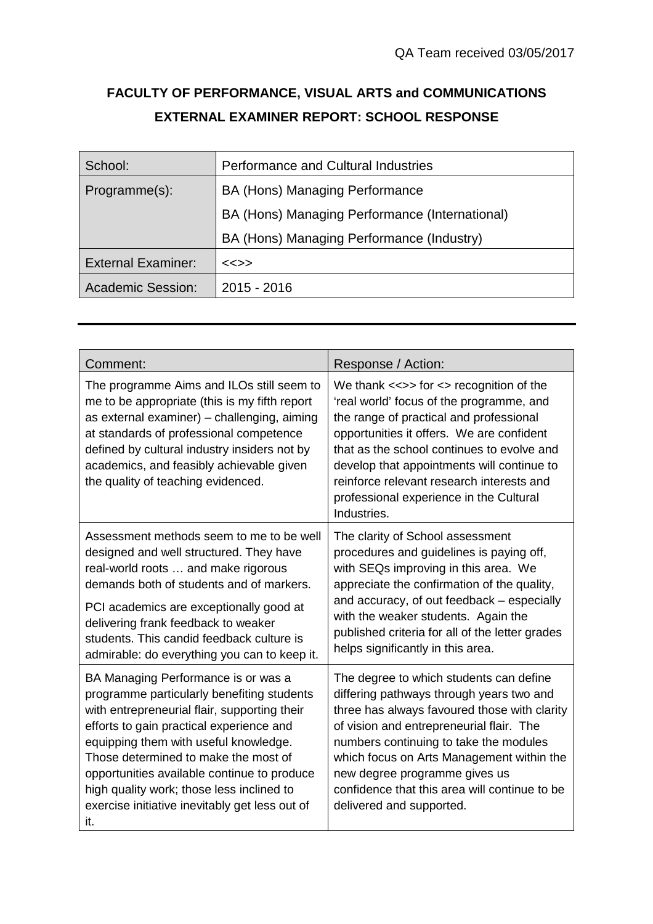# **FACULTY OF PERFORMANCE, VISUAL ARTS and COMMUNICATIONS EXTERNAL EXAMINER REPORT: SCHOOL RESPONSE**

| School:                   | <b>Performance and Cultural Industries</b>     |  |
|---------------------------|------------------------------------------------|--|
| Programme(s):             | BA (Hons) Managing Performance                 |  |
|                           | BA (Hons) Managing Performance (International) |  |
|                           | BA (Hons) Managing Performance (Industry)      |  |
| <b>External Examiner:</b> | $<<$ >>                                        |  |
| <b>Academic Session:</b>  | $2015 - 2016$                                  |  |

| Comment:                                                                                                                                                                                                                                                                                                                                                                                                            | Response / Action:                                                                                                                                                                                                                                                                                                                                                                     |
|---------------------------------------------------------------------------------------------------------------------------------------------------------------------------------------------------------------------------------------------------------------------------------------------------------------------------------------------------------------------------------------------------------------------|----------------------------------------------------------------------------------------------------------------------------------------------------------------------------------------------------------------------------------------------------------------------------------------------------------------------------------------------------------------------------------------|
| The programme Aims and ILOs still seem to<br>me to be appropriate (this is my fifth report<br>as external examiner) – challenging, aiming<br>at standards of professional competence<br>defined by cultural industry insiders not by<br>academics, and feasibly achievable given<br>the quality of teaching evidenced.                                                                                              | We thank $\ll>>$ for $\ll>>$ recognition of the<br>'real world' focus of the programme, and<br>the range of practical and professional<br>opportunities it offers. We are confident<br>that as the school continues to evolve and<br>develop that appointments will continue to<br>reinforce relevant research interests and<br>professional experience in the Cultural<br>Industries. |
| Assessment methods seem to me to be well<br>designed and well structured. They have<br>real-world roots  and make rigorous<br>demands both of students and of markers.<br>PCI academics are exceptionally good at<br>delivering frank feedback to weaker<br>students. This candid feedback culture is                                                                                                               | The clarity of School assessment<br>procedures and guidelines is paying off,<br>with SEQs improving in this area. We<br>appreciate the confirmation of the quality,<br>and accuracy, of out feedback - especially<br>with the weaker students. Again the<br>published criteria for all of the letter grades                                                                            |
| admirable: do everything you can to keep it.                                                                                                                                                                                                                                                                                                                                                                        | helps significantly in this area.                                                                                                                                                                                                                                                                                                                                                      |
| BA Managing Performance is or was a<br>programme particularly benefiting students<br>with entrepreneurial flair, supporting their<br>efforts to gain practical experience and<br>equipping them with useful knowledge.<br>Those determined to make the most of<br>opportunities available continue to produce<br>high quality work; those less inclined to<br>exercise initiative inevitably get less out of<br>it. | The degree to which students can define<br>differing pathways through years two and<br>three has always favoured those with clarity<br>of vision and entrepreneurial flair. The<br>numbers continuing to take the modules<br>which focus on Arts Management within the<br>new degree programme gives us<br>confidence that this area will continue to be<br>delivered and supported.   |